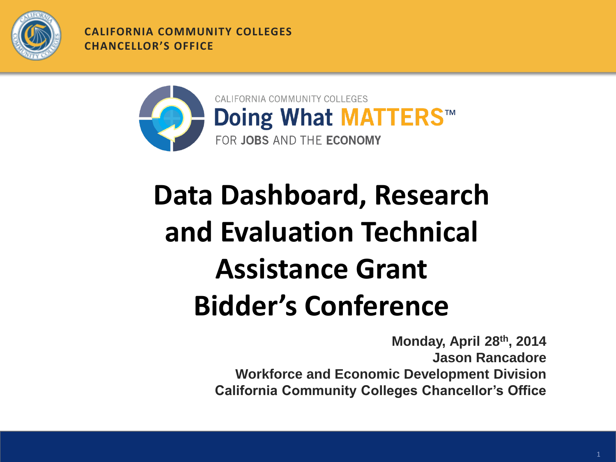

**CALIFORNIA COMMUNITY COLLEGES CHANCELLOR'S OFFICE**



## **Data Dashboard, Research and Evaluation Technical Assistance Grant Bidder's Conference**

**Monday, April 28th, 2014 Jason Rancadore Workforce and Economic Development Division California Community Colleges Chancellor's Office**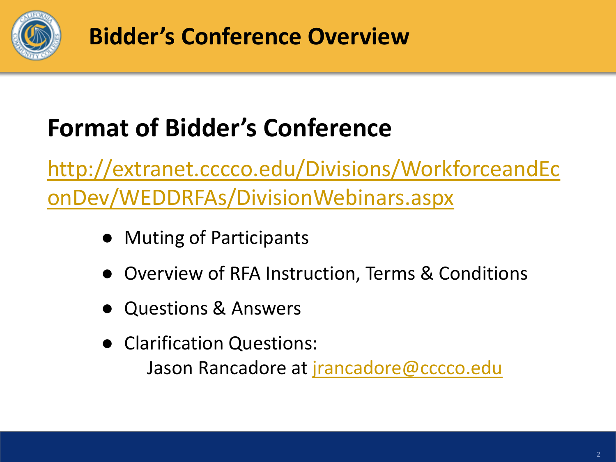

**Bidder's Conference Overview**

### **Format of Bidder's Conference**

[http://extranet.cccco.edu/Divisions/WorkforceandEc](http://extranet.cccco.edu/Divisions/WorkforceandEconDev/WEDDRFAs/DivisionWebinars.aspx) [onDev/WEDDRFAs/DivisionWebinars.aspx](http://extranet.cccco.edu/Divisions/WorkforceandEconDev/WEDDRFAs/DivisionWebinars.aspx)

- Muting of Participants
- Overview of RFA Instruction, Terms & Conditions
- Questions & Answers
- Clarification Questions: Jason Rancadore at [jrancadore@cccco.edu](mailto:jdunn@cccco.edu)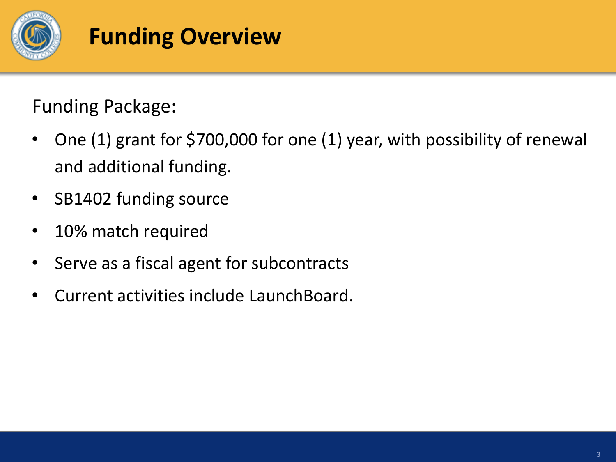

#### **Funding Overview**

Funding Package:

- One (1) grant for \$700,000 for one (1) year, with possibility of renewal and additional funding.
- SB1402 funding source
- 10% match required
- Serve as a fiscal agent for subcontracts
- Current activities include LaunchBoard.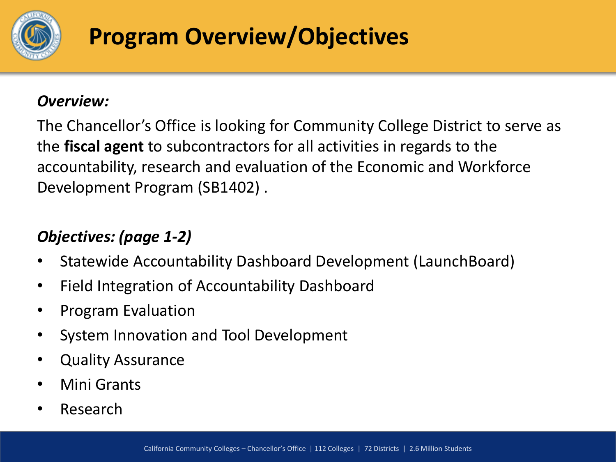

### **Program Overview/Objectives**

#### *Overview:*

The Chancellor's Office is looking for Community College District to serve as the **fiscal agent** to subcontractors for all activities in regards to the accountability, research and evaluation of the Economic and Workforce Development Program (SB1402) .

#### *Objectives: (page 1-2)*

- Statewide Accountability Dashboard Development (LaunchBoard)
- Field Integration of Accountability Dashboard
- Program Evaluation
- System Innovation and Tool Development
- Quality Assurance
- Mini Grants
- **Research**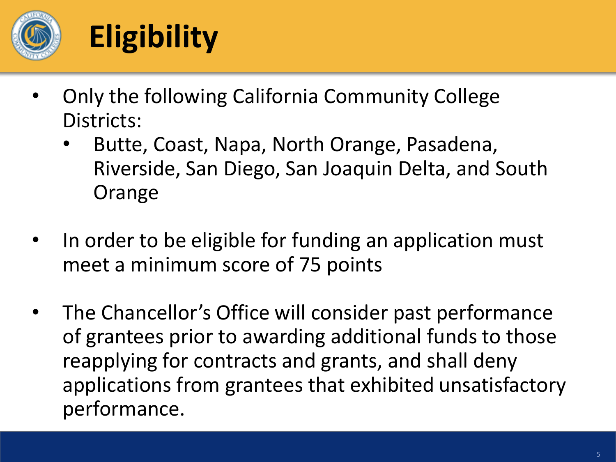

# **Eligibility**

- Only the following California Community College Districts:
	- Butte, Coast, Napa, North Orange, Pasadena, Riverside, San Diego, San Joaquin Delta, and South **Orange**
- In order to be eligible for funding an application must meet a minimum score of 75 points
- The Chancellor's Office will consider past performance of grantees prior to awarding additional funds to those reapplying for contracts and grants, and shall deny applications from grantees that exhibited unsatisfactory performance.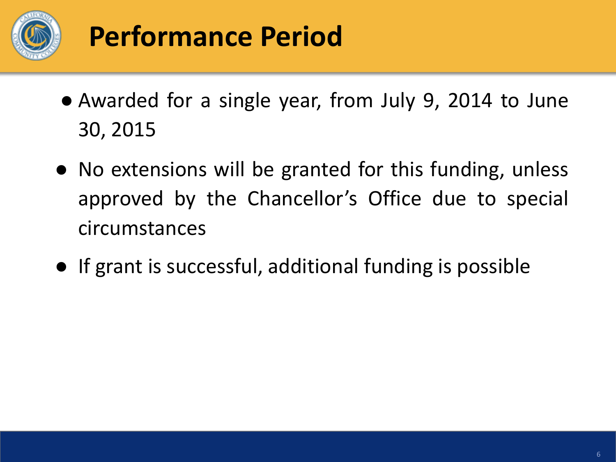

## **Performance Period**

- Awarded for a single year, from July 9, 2014 to June 30, 2015
- No extensions will be granted for this funding, unless approved by the Chancellor's Office due to special circumstances
- If grant is successful, additional funding is possible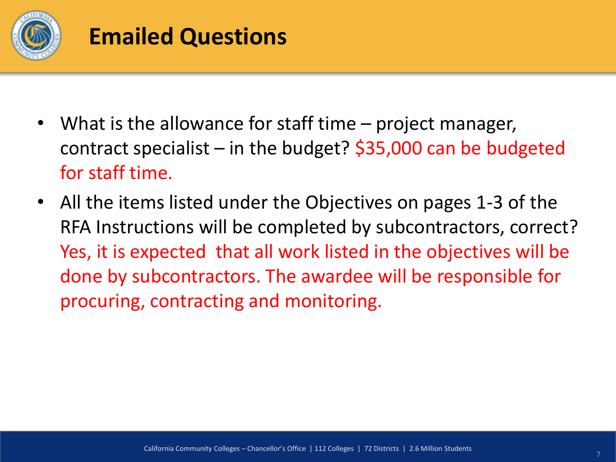

#### **Emailed Questions**

- What is the allowance for staff time  $-$  project manager, contract specialist – in the budget?  $$35,000$  can be budgeted for staff time.
- All the items listed under the Objectives on pages 1-3 of the RFA Instructions will be completed by subcontractors, correct? Yes, it is expected that all work listed in the objectives will be done by subcontractors. The awardee will be responsible for procuring, contracting and monitoring.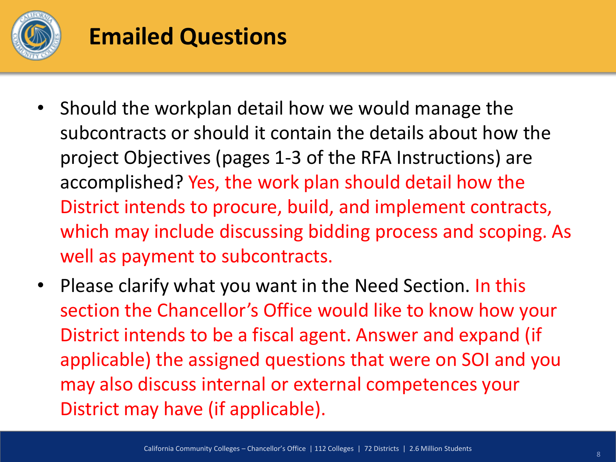

#### **Emailed Questions**

- Should the workplan detail how we would manage the subcontracts or should it contain the details about how the project Objectives (pages 1-3 of the RFA Instructions) are accomplished? Yes, the work plan should detail how the District intends to procure, build, and implement contracts, which may include discussing bidding process and scoping. As well as payment to subcontracts.
- Please clarify what you want in the Need Section. In this section the Chancellor's Office would like to know how your District intends to be a fiscal agent. Answer and expand (if applicable) the assigned questions that were on SOI and you may also discuss internal or external competences your District may have (if applicable).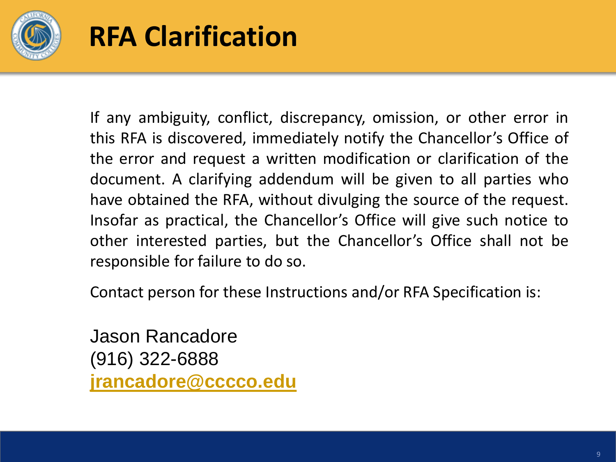

## **RFA Clarification**

If any ambiguity, conflict, discrepancy, omission, or other error in this RFA is discovered, immediately notify the Chancellor's Office of the error and request a written modification or clarification of the document. A clarifying addendum will be given to all parties who have obtained the RFA, without divulging the source of the request. Insofar as practical, the Chancellor's Office will give such notice to other interested parties, but the Chancellor's Office shall not be responsible for failure to do so.

Contact person for these Instructions and/or RFA Specification is:

Jason Rancadore (916) 322-6888 **[jrancadore@cccco.edu](mailto:asingleton@cccco.edu)**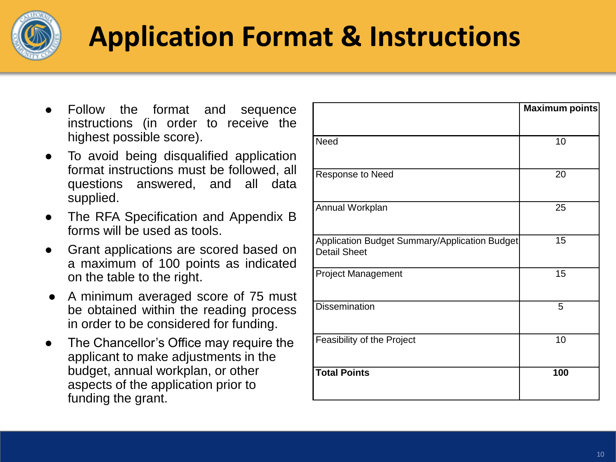

## **Application Format & Instructions**

- Follow the format and sequence instructions (in order to receive the highest possible score).
- To avoid being disqualified application format instructions must be followed, all questions answered, and all data supplied.
- The RFA Specification and Appendix B forms will be used as tools.
- Grant applications are scored based on a maximum of 100 points as indicated on the table to the right.
- A minimum averaged score of 75 must be obtained within the reading process in order to be considered for funding.
- The Chancellor's Office may require the applicant to make adjustments in the budget, annual workplan, or other aspects of the application prior to funding the grant.

|                                                                      | Maximum points |
|----------------------------------------------------------------------|----------------|
|                                                                      |                |
| <b>Need</b>                                                          | 10             |
|                                                                      |                |
| Response to Need                                                     | 20             |
|                                                                      |                |
| Annual Workplan                                                      | 25             |
|                                                                      |                |
| Application Budget Summary/Application Budget<br><b>Detail Sheet</b> | 15             |
|                                                                      |                |
| <b>Project Management</b>                                            | 15             |
|                                                                      |                |
| <b>Dissemination</b>                                                 | 5              |
|                                                                      |                |
| Feasibility of the Project                                           | 10             |
|                                                                      |                |
| <b>Total Points</b>                                                  | 100            |
|                                                                      |                |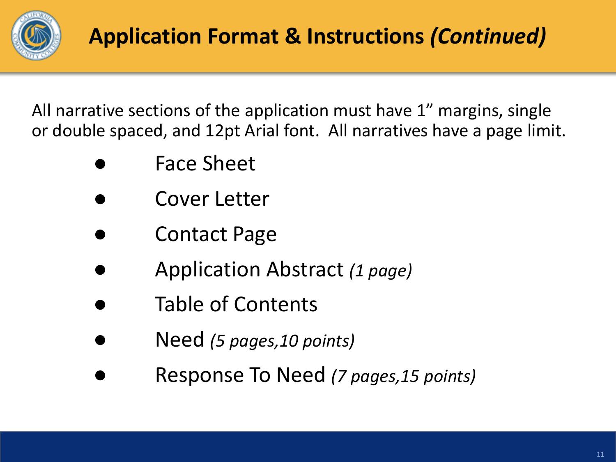

All narrative sections of the application must have 1" margins, single or double spaced, and 12pt Arial font. All narratives have a page limit.

- **Face Sheet**
- Cover Letter
- **Contact Page**
- Application Abstract *(1 page)*
- Table of Contents
- Need *(5 pages,10 points)*
- Response To Need *(7 pages,15 points)*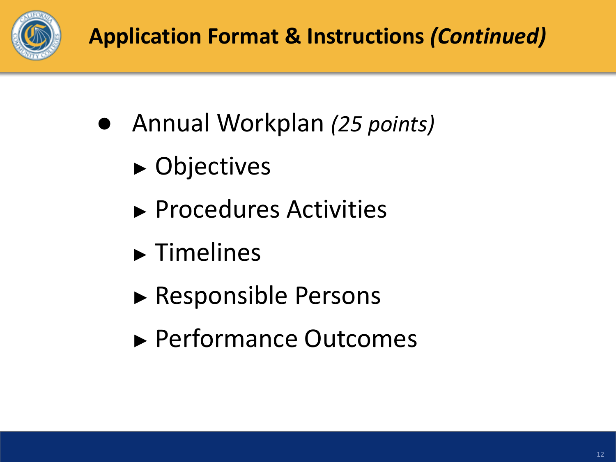

- Annual Workplan (25 *points)* 
	- ► Objectives
	- ► Procedures Activities
	- ► Timelines
	- ► Responsible Persons
	- ► Performance Outcomes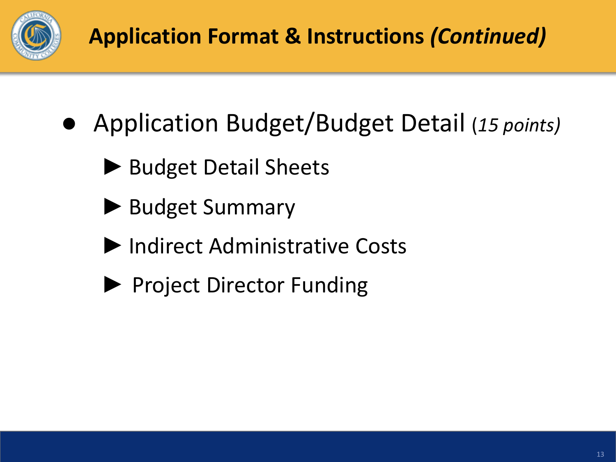

### **Application Format & Instructions** *(Continued)*

- Application Budget/Budget Detail (*15 points)*
	- ▶ Budget Detail Sheets
	- ▶ Budget Summary
	- ►Indirect Administrative Costs
	- ▶ Project Director Funding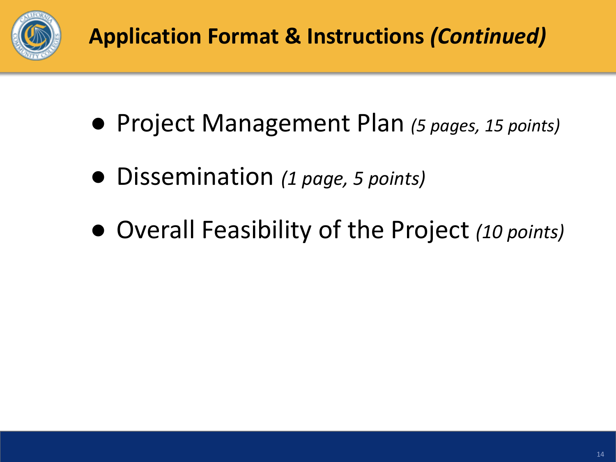

- Project Management Plan *(5 pages, 15 points)*
- Dissemination *(1 page, 5 points)*
- Overall Feasibility of the Project *(10 points)*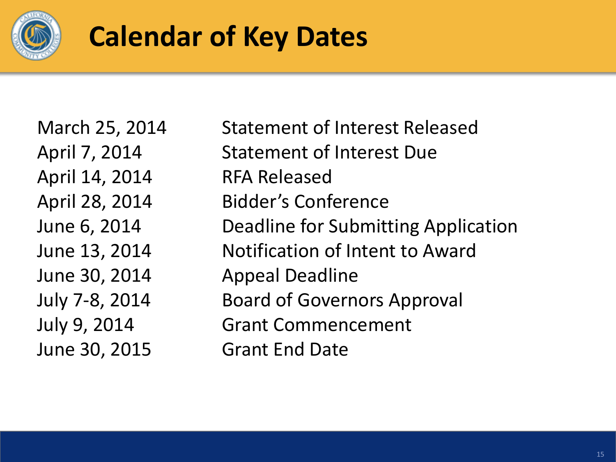

## **Calendar of Key Dates**

April 14, 2014 RFA Released June 30, 2015 Grant End Date

March 25, 2014 Statement of Interest Released April 7, 2014 Statement of Interest Due April 28, 2014 Bidder's Conference June 6, 2014 Deadline for Submitting Application June 13, 2014 Notification of Intent to Award June 30, 2014 Appeal Deadline July 7-8, 2014 Board of Governors Approval July 9, 2014 Grant Commencement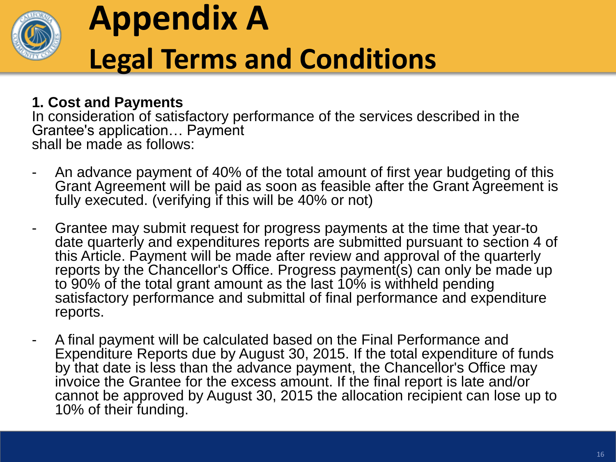

# **Appendix A Legal Terms and Conditions**

#### **1. Cost and Payments**

In consideration of satisfactory performance of the services described in the Grantee's application… Payment shall be made as follows:

- An advance payment of 40% of the total amount of first year budgeting of this Grant Agreement will be paid as soon as feasible after the Grant Agreement is fully executed. (verifying if this will be 40% or not)
- Grantee may submit request for progress payments at the time that year-to date quarterly and expenditures reports are submitted pursuant to section 4 of this Article. Payment will be made after review and approval of the quarterly reports by the Chancellor's Office. Progress payment(s) can only be made up to 90% of the total grant amount as the last 10% is withheld pending satisfactory performance and submittal of final performance and expenditure reports.
- A final payment will be calculated based on the Final Performance and Expenditure Reports due by August 30, 2015. If the total expenditure of funds by that date is less than the advance payment, the Chancellor's Office may invoice the Grantee for the excess amount. If the final report is late and/or cannot be approved by August 30, 2015 the allocation recipient can lose up to 10% of their funding.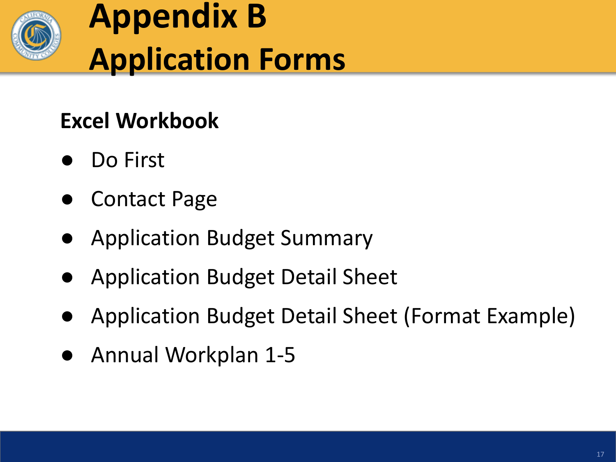

# **Appendix B Application Forms**

#### **Excel Workbook**

- Do First
- **Contact Page**
- Application Budget Summary
- Application Budget Detail Sheet
- Application Budget Detail Sheet (Format Example)
- Annual Workplan 1-5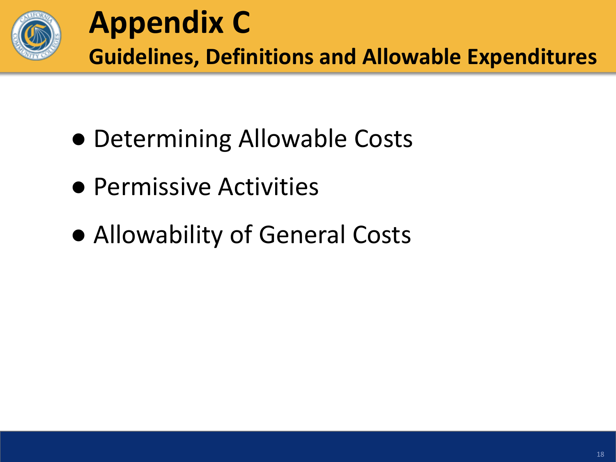

- Determining Allowable Costs
- Permissive Activities
- Allowability of General Costs